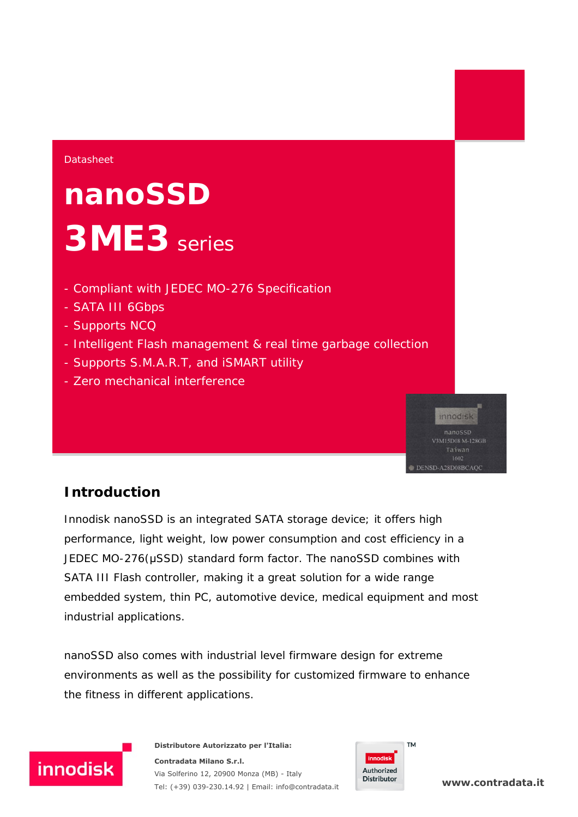#### **Datasheet**

# **nanoSSD 3ME3** series

- Compliant with JEDEC MO-276 Specification
- SATA III 6Gbps
- Supports NCQ
- Intelligent Flash management & real time garbage collection
- Supports S.M.A.R.T, and iSMART utility
- Zero mechanical interference

## innodisk V3M15D08 M-128GB DENSD-A28D08BCAQC

### **Introduction**

Innodisk nanoSSD is an integrated SATA storage device; it offers high performance, light weight, low power consumption and cost efficiency in a JEDEC MO-276(μSSD) standard form factor. The nanoSSD combines with SATA III Flash controller, making it a great solution for a wide range embedded system, thin PC, automotive device, medical equipment and most industrial applications.

nanoSSD also comes with industrial level firmware design for extreme environments as well as the possibility for customized firmware to enhance the fitness in different applications.



**Distributore Autorizzato per l'Italia: Contradata Milano S.r.l.** Via Solferino 12, 20900 Monza (MB) - Italy Tel: (+39) 039-230.14.92 | Email: [info@contradata.it](mailto:info@contradata.it)